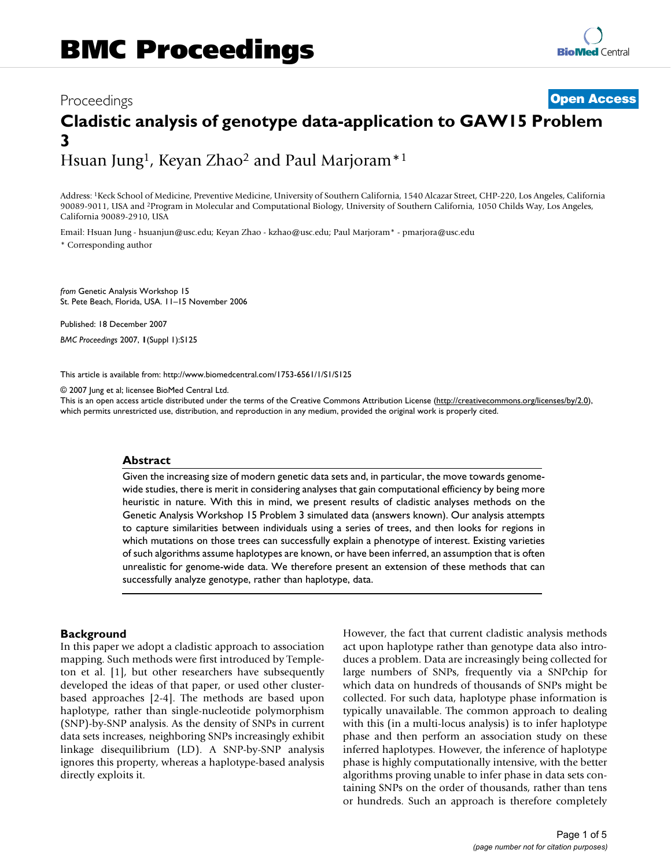# Proceedings **[Open Access](http://www.biomedcentral.com/info/about/charter/) Cladistic analysis of genotype data-application to GAW15 Problem 3** Hsuan Jung<sup>1</sup>, Keyan Zhao<sup>2</sup> and Paul Marjoram<sup>\*1</sup>

Address: 1Keck School of Medicine, Preventive Medicine, University of Southern California, 1540 Alcazar Street, CHP-220, Los Angeles, California 90089-9011, USA and 2Program in Molecular and Computational Biology, University of Southern California, 1050 Childs Way, Los Angeles, California 90089-2910, USA

Email: Hsuan Jung - hsuanjun@usc.edu; Keyan Zhao - kzhao@usc.edu; Paul Marjoram\* - pmarjora@usc.edu \* Corresponding author

*from* Genetic Analysis Workshop 15 St. Pete Beach, Florida, USA. 11–15 November 2006

Published: 18 December 2007

*BMC Proceedings* 2007, **1**(Suppl 1):S125

[This article is available from: http://www.biomedcentral.com/1753-6561/1/S1/S125](http://www.biomedcentral.com/1753-6561/1/S1/S125)

© 2007 Jung et al; licensee BioMed Central Ltd.

This is an open access article distributed under the terms of the Creative Commons Attribution License [\(http://creativecommons.org/licenses/by/2.0\)](http://creativecommons.org/licenses/by/2.0), which permits unrestricted use, distribution, and reproduction in any medium, provided the original work is properly cited.

#### **Abstract**

Given the increasing size of modern genetic data sets and, in particular, the move towards genomewide studies, there is merit in considering analyses that gain computational efficiency by being more heuristic in nature. With this in mind, we present results of cladistic analyses methods on the Genetic Analysis Workshop 15 Problem 3 simulated data (answers known). Our analysis attempts to capture similarities between individuals using a series of trees, and then looks for regions in which mutations on those trees can successfully explain a phenotype of interest. Existing varieties of such algorithms assume haplotypes are known, or have been inferred, an assumption that is often unrealistic for genome-wide data. We therefore present an extension of these methods that can successfully analyze genotype, rather than haplotype, data.

## **Background**

In this paper we adopt a cladistic approach to association mapping. Such methods were first introduced by Templeton et al. [1], but other researchers have subsequently developed the ideas of that paper, or used other clusterbased approaches [2-4]. The methods are based upon haplotype, rather than single-nucleotide polymorphism (SNP)-by-SNP analysis. As the density of SNPs in current data sets increases, neighboring SNPs increasingly exhibit linkage disequilibrium (LD). A SNP-by-SNP analysis ignores this property, whereas a haplotype-based analysis directly exploits it.

However, the fact that current cladistic analysis methods act upon haplotype rather than genotype data also introduces a problem. Data are increasingly being collected for large numbers of SNPs, frequently via a SNPchip for which data on hundreds of thousands of SNPs might be collected. For such data, haplotype phase information is typically unavailable. The common approach to dealing with this (in a multi-locus analysis) is to infer haplotype phase and then perform an association study on these inferred haplotypes. However, the inference of haplotype phase is highly computationally intensive, with the better algorithms proving unable to infer phase in data sets containing SNPs on the order of thousands, rather than tens or hundreds. Such an approach is therefore completely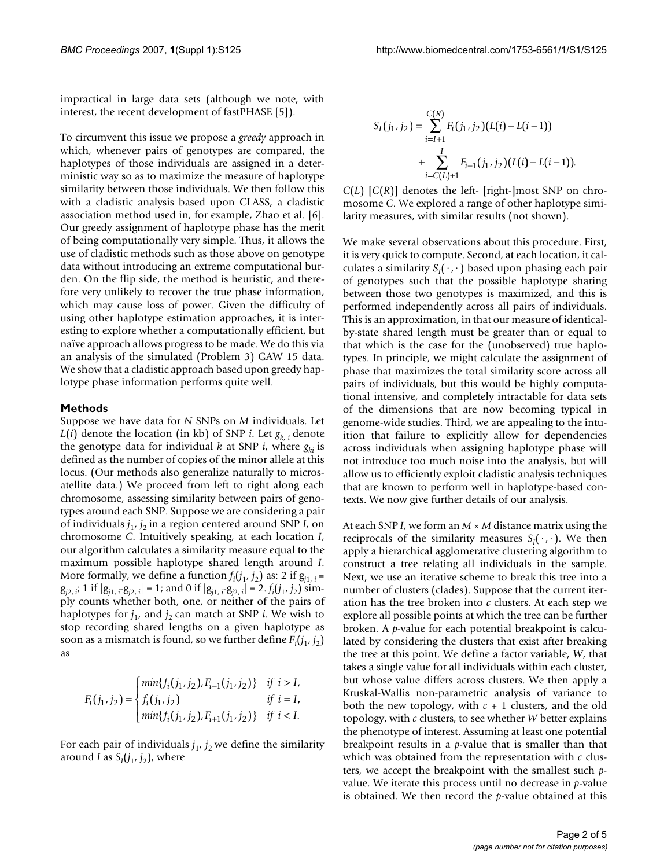impractical in large data sets (although we note, with interest, the recent development of fastPHASE [5]).

To circumvent this issue we propose a *greedy* approach in which, whenever pairs of genotypes are compared, the haplotypes of those individuals are assigned in a deterministic way so as to maximize the measure of haplotype similarity between those individuals. We then follow this with a cladistic analysis based upon CLASS, a cladistic association method used in, for example, Zhao et al. [6]. Our greedy assignment of haplotype phase has the merit of being computationally very simple. Thus, it allows the use of cladistic methods such as those above on genotype data without introducing an extreme computational burden. On the flip side, the method is heuristic, and therefore very unlikely to recover the true phase information, which may cause loss of power. Given the difficulty of using other haplotype estimation approaches, it is interesting to explore whether a computationally efficient, but naïve approach allows progress to be made. We do this via an analysis of the simulated (Problem 3) GAW 15 data. We show that a cladistic approach based upon greedy haplotype phase information performs quite well.

#### **Methods**

Suppose we have data for *N* SNPs on *M* individuals. Let *L*(*i*) denote the location (in kb) of SNP *i*. Let  $g_{k,i}$  denote the genotype data for individual  $k$  at SNP  $i$ , where  $g_{ki}$  is defined as the number of copies of the minor allele at this locus. (Our methods also generalize naturally to microsatellite data.) We proceed from left to right along each chromosome, assessing similarity between pairs of genotypes around each SNP. Suppose we are considering a pair of individuals  $j_1$ ,  $j_2$  in a region centered around SNP *I*, on chromosome *C*. Intuitively speaking, at each location *I*, our algorithm calculates a similarity measure equal to the maximum possible haplotype shared length around *I*. More formally, we define a function  $f_i(j_1, j_2)$  as: 2 if  $g_{j1, i}$  =  $g_{j2, i}$ ; 1 if  $|g_{j1, i}g_{j2, i}| = 1$ ; and 0 if  $|g_{j1, i}g_{j2, i}| = 2. f_i(j_1, j_2)$  simply counts whether both, one, or neither of the pairs of haplotypes for  $j_1$ , and  $j_2$  can match at SNP *i*. We wish to stop recording shared lengths on a given haplotype as soon as a mismatch is found, so we further define *Fi* (*j*1, *j*2) as

$$
F_i(j_1, j_2) = \begin{cases} min\{f_i(j_1, j_2), F_{i-1}(j_1, j_2)\} & \text{if } i > I, \\ f_i(j_1, j_2) & \text{if } i = I, \\ min\{f_i(j_1, j_2), F_{i+1}(j_1, j_2)\} & \text{if } i < I. \end{cases}
$$

For each pair of individuals  $j_1$ ,  $j_2$  we define the similarity around *I* as  $S_I(j_1, j_2)$ , where

$$
S_I(j_1, j_2) = \sum_{i=I+1}^{C(R)} F_i(j_1, j_2) (L(i) - L(i-1))
$$
  
+ 
$$
\sum_{i=C(L)+1}^{I} F_{i-1}(j_1, j_2) (L(i) - L(i-1)).
$$

*C*(*L*) [*C*(*R*)] denotes the left- [right-]most SNP on chromosome *C*. We explored a range of other haplotype similarity measures, with similar results (not shown).

We make several observations about this procedure. First, it is very quick to compute. Second, at each location, it calculates a similarity  $S_l(\cdot,\cdot)$  based upon phasing each pair of genotypes such that the possible haplotype sharing between those two genotypes is maximized, and this is performed independently across all pairs of individuals. This is an approximation, in that our measure of identicalby-state shared length must be greater than or equal to that which is the case for the (unobserved) true haplotypes. In principle, we might calculate the assignment of phase that maximizes the total similarity score across all pairs of individuals, but this would be highly computational intensive, and completely intractable for data sets of the dimensions that are now becoming typical in genome-wide studies. Third, we are appealing to the intuition that failure to explicitly allow for dependencies across individuals when assigning haplotype phase will not introduce too much noise into the analysis, but will allow us to efficiently exploit cladistic analysis techniques that are known to perform well in haplotype-based contexts. We now give further details of our analysis.

At each SNP *I*, we form an *M* × *M* distance matrix using the reciprocals of the similarity measures  $S_I(\cdot, \cdot)$ . We then apply a hierarchical agglomerative clustering algorithm to construct a tree relating all individuals in the sample. Next, we use an iterative scheme to break this tree into a number of clusters (clades). Suppose that the current iteration has the tree broken into *c* clusters. At each step we explore all possible points at which the tree can be further broken. A *p*-value for each potential breakpoint is calculated by considering the clusters that exist after breaking the tree at this point. We define a factor variable, *W*, that takes a single value for all individuals within each cluster, but whose value differs across clusters. We then apply a Kruskal-Wallis non-parametric analysis of variance to both the new topology, with  $c + 1$  clusters, and the old topology, with *c* clusters, to see whether *W* better explains the phenotype of interest. Assuming at least one potential breakpoint results in a *p*-value that is smaller than that which was obtained from the representation with *c* clusters, we accept the breakpoint with the smallest such *p*value. We iterate this process until no decrease in *p*-value is obtained. We then record the *p*-value obtained at this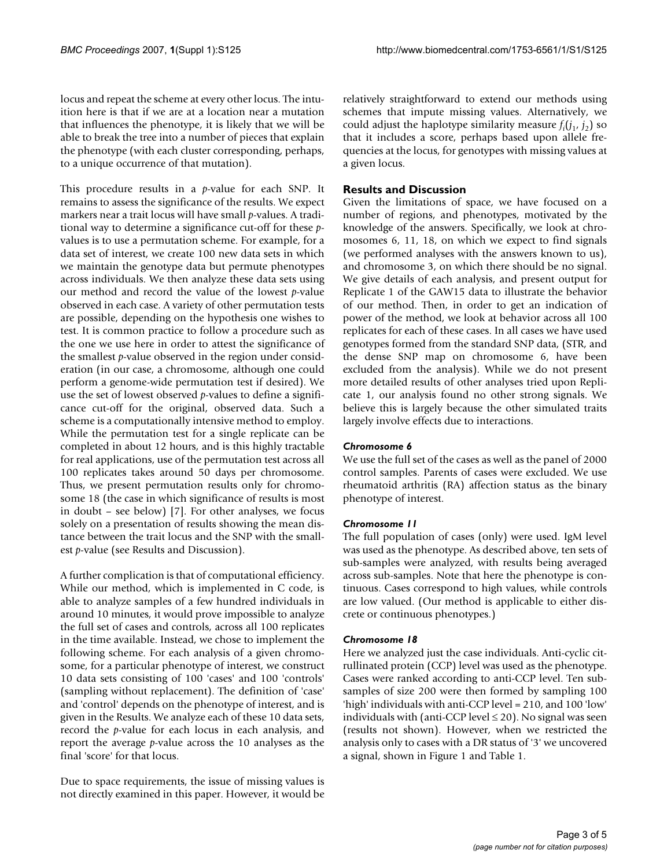locus and repeat the scheme at every other locus. The intuition here is that if we are at a location near a mutation that influences the phenotype, it is likely that we will be able to break the tree into a number of pieces that explain the phenotype (with each cluster corresponding, perhaps, to a unique occurrence of that mutation).

This procedure results in a *p*-value for each SNP. It remains to assess the significance of the results. We expect markers near a trait locus will have small *p*-values. A traditional way to determine a significance cut-off for these *p*values is to use a permutation scheme. For example, for a data set of interest, we create 100 new data sets in which we maintain the genotype data but permute phenotypes across individuals. We then analyze these data sets using our method and record the value of the lowest *p*-value observed in each case. A variety of other permutation tests are possible, depending on the hypothesis one wishes to test. It is common practice to follow a procedure such as the one we use here in order to attest the significance of the smallest *p*-value observed in the region under consideration (in our case, a chromosome, although one could perform a genome-wide permutation test if desired). We use the set of lowest observed *p*-values to define a significance cut-off for the original, observed data. Such a scheme is a computationally intensive method to employ. While the permutation test for a single replicate can be completed in about 12 hours, and is this highly tractable for real applications, use of the permutation test across all 100 replicates takes around 50 days per chromosome. Thus, we present permutation results only for chromosome 18 (the case in which significance of results is most in doubt – see below) [7]. For other analyses, we focus solely on a presentation of results showing the mean distance between the trait locus and the SNP with the smallest *p*-value (see Results and Discussion).

A further complication is that of computational efficiency. While our method, which is implemented in C code, is able to analyze samples of a few hundred individuals in around 10 minutes, it would prove impossible to analyze the full set of cases and controls, across all 100 replicates in the time available. Instead, we chose to implement the following scheme. For each analysis of a given chromosome, for a particular phenotype of interest, we construct 10 data sets consisting of 100 'cases' and 100 'controls' (sampling without replacement). The definition of 'case' and 'control' depends on the phenotype of interest, and is given in the Results. We analyze each of these 10 data sets, record the *p*-value for each locus in each analysis, and report the average *p*-value across the 10 analyses as the final 'score' for that locus.

Due to space requirements, the issue of missing values is not directly examined in this paper. However, it would be relatively straightforward to extend our methods using schemes that impute missing values. Alternatively, we could adjust the haplotype similarity measure  $f_i(j_1, j_2)$  so that it includes a score, perhaps based upon allele frequencies at the locus, for genotypes with missing values at a given locus.

# **Results and Discussion**

Given the limitations of space, we have focused on a number of regions, and phenotypes, motivated by the knowledge of the answers. Specifically, we look at chromosomes 6, 11, 18, on which we expect to find signals (we performed analyses with the answers known to us), and chromosome 3, on which there should be no signal. We give details of each analysis, and present output for Replicate 1 of the GAW15 data to illustrate the behavior of our method. Then, in order to get an indication of power of the method, we look at behavior across all 100 replicates for each of these cases. In all cases we have used genotypes formed from the standard SNP data, (STR, and the dense SNP map on chromosome 6, have been excluded from the analysis). While we do not present more detailed results of other analyses tried upon Replicate 1, our analysis found no other strong signals. We believe this is largely because the other simulated traits largely involve effects due to interactions.

# *Chromosome 6*

We use the full set of the cases as well as the panel of 2000 control samples. Parents of cases were excluded. We use rheumatoid arthritis (RA) affection status as the binary phenotype of interest.

#### *Chromosome 11*

The full population of cases (only) were used. IgM level was used as the phenotype. As described above, ten sets of sub-samples were analyzed, with results being averaged across sub-samples. Note that here the phenotype is continuous. Cases correspond to high values, while controls are low valued. (Our method is applicable to either discrete or continuous phenotypes.)

#### *Chromosome 18*

Here we analyzed just the case individuals. Anti-cyclic citrullinated protein (CCP) level was used as the phenotype. Cases were ranked according to anti-CCP level. Ten subsamples of size 200 were then formed by sampling 100 'high' individuals with anti-CCP level = 210, and 100 'low' individuals with (anti-CCP level  $\leq$  20). No signal was seen (results not shown). However, when we restricted the analysis only to cases with a DR status of '3' we uncovered a signal, shown in Figure 1 and Table 1.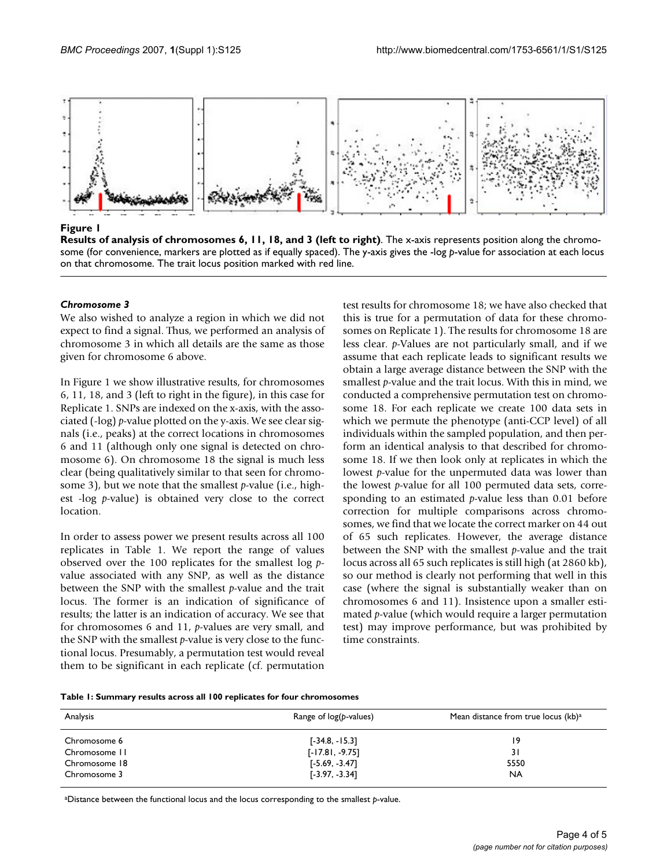

Results of analysis of chromosome **Figure 1** s 6, 11, 18, and 3 (left to right)

**Results of analysis of chromosomes 6, 11, 18, and 3 (left to right)**. The x-axis represents position along the chromosome (for convenience, markers are plotted as if equally spaced). The y-axis gives the -log *p*-value for association at each locus on that chromosome. The trait locus position marked with red line.

# *Chromosome 3*

We also wished to analyze a region in which we did not expect to find a signal. Thus, we performed an analysis of chromosome 3 in which all details are the same as those given for chromosome 6 above.

In Figure 1 we show illustrative results, for chromosomes 6, 11, 18, and 3 (left to right in the figure), in this case for Replicate 1. SNPs are indexed on the x-axis, with the associated (-log) *p*-value plotted on the y-axis. We see clear signals (i.e., peaks) at the correct locations in chromosomes 6 and 11 (although only one signal is detected on chromosome 6). On chromosome 18 the signal is much less clear (being qualitatively similar to that seen for chromosome 3), but we note that the smallest *p*-value (i.e., highest -log *p*-value) is obtained very close to the correct location.

In order to assess power we present results across all 100 replicates in Table 1. We report the range of values observed over the 100 replicates for the smallest log *p*value associated with any SNP, as well as the distance between the SNP with the smallest *p*-value and the trait locus. The former is an indication of significance of results; the latter is an indication of accuracy. We see that for chromosomes 6 and 11, *p*-values are very small, and the SNP with the smallest *p*-value is very close to the functional locus. Presumably, a permutation test would reveal them to be significant in each replicate (cf. permutation test results for chromosome 18; we have also checked that this is true for a permutation of data for these chromosomes on Replicate 1). The results for chromosome 18 are less clear. *p*-Values are not particularly small, and if we assume that each replicate leads to significant results we obtain a large average distance between the SNP with the smallest *p*-value and the trait locus. With this in mind, we conducted a comprehensive permutation test on chromosome 18. For each replicate we create 100 data sets in which we permute the phenotype (anti-CCP level) of all individuals within the sampled population, and then perform an identical analysis to that described for chromosome 18. If we then look only at replicates in which the lowest *p*-value for the unpermuted data was lower than the lowest *p*-value for all 100 permuted data sets, corresponding to an estimated *p*-value less than 0.01 before correction for multiple comparisons across chromosomes, we find that we locate the correct marker on 44 out of 65 such replicates. However, the average distance between the SNP with the smallest *p*-value and the trait locus across all 65 such replicates is still high (at 2860 kb), so our method is clearly not performing that well in this case (where the signal is substantially weaker than on chromosomes 6 and 11). Insistence upon a smaller estimated *p*-value (which would require a larger permutation test) may improve performance, but was prohibited by time constraints.

#### **Table 1: Summary results across all 100 replicates for four chromosomes**

| Analysis      | Range of $log(p$ -values) | Mean distance from true locus (kb) <sup>a</sup> |
|---------------|---------------------------|-------------------------------------------------|
| Chromosome 6  | $[-34.8, -15.3]$          | 19                                              |
| Chromosome II | [-17.81, -9.75]           | 31                                              |
| Chromosome 18 | $[-5.69, -3.47]$          | 5550                                            |
| Chromosome 3  | $[-3.97, -3.34]$          | <b>NA</b>                                       |

aDistance between the functional locus and the locus corresponding to the smallest *p*-value.